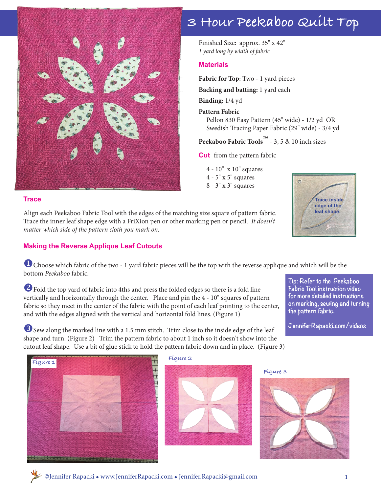

#### **Trace**

Align each Peekaboo Fabric Tool with the edges of the matching size square of pattern fabric. Trace the inner leaf shape edge with a FriXion pen or other marking pen or pencil. *It doesn't matter which side of the pattern cloth you mark on.*

#### **Making the Reverse Applique Leaf Cutouts**

## **3 Hour Peekaboo Quilt Top**

Finished Size: approx. 35" x 42" *1 yard long by width of fabric*

#### **Materials**

**Fabric for Top**: Two - 1 yard pieces **Backing and batting:** 1 yard each

**Binding:** 1/4 yd

**Pattern Fabric**

 Pellon 830 Easy Pattern (45" wide) - 1/2 yd OR Swedish Tracing Paper Fabric (29" wide) - 3/4 yd

**Peekaboo Fabric Tools™** - 3, 5 & 10 inch sizes

**Cut** from the pattern fabric

 4 - 10" x 10" squares 4 - 5" x 5" squares 8 - 3" x 3" squares



**for more detailed instructions on marking, sewing and turning** 

**JenniferRapacki.com/videos**

**the pattern fabric.** 

**U** Choose which fabric of the two - 1 yard fabric pieces will be the top with the reverse applique and which will be the bottom *Peekaboo* fabric. **Tip: Refer to the Peekaboo Fabric Tool instruction video** 

<sup>2</sup> Fold the top yard of fabric into 4ths and press the folded edges so there is a fold line vertically and horizontally through the center. Place and pin the 4 - 10" squares of pattern fabric so they meet in the center of the fabric with the point of each leaf pointing to the center, and with the edges aligned with the vertical and horizontal fold lines. (Figure 1)

**B** Sew along the marked line with a 1.5 mm stitch. Trim close to the inside edge of the leaf shape and turn. (Figure 2) Trim the pattern fabric to about 1 inch so it doesn't show into the cutout leaf shape. Use a bit of glue stick to hold the pattern fabric down and in place. (Figure 3)



**Figure 2**



**Figure 3**